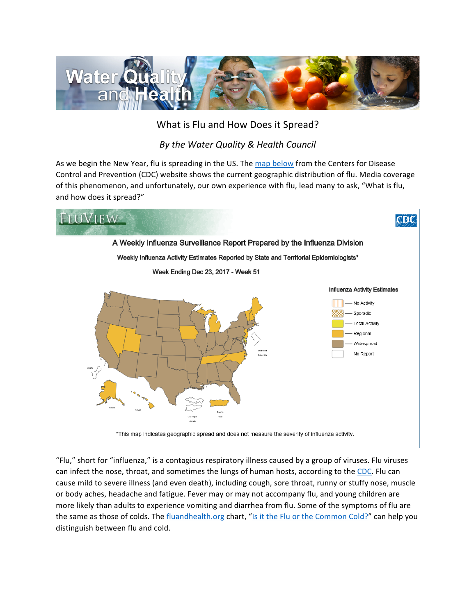

## What is Flu and How Does it Spread?

## **By the Water Quality & Health Council**

As we begin the New Year, flu is spreading in the US. The map below from the Centers for Disease Control and Prevention (CDC) website shows the current geographic distribution of flu. Media coverage of this phenomenon, and unfortunately, our own experience with flu, lead many to ask, "What is flu, and how does it spread?"



\*This map indicates geographic spread and does not measure the severity of influenza activity.

"Flu," short for "influenza," is a contagious respiratory illness caused by a group of viruses. Flu viruses can infect the nose, throat, and sometimes the lungs of human hosts, according to the CDC. Flu can cause mild to severe illness (and even death), including cough, sore throat, runny or stuffy nose, muscle or body aches, headache and fatigue. Fever may or may not accompany flu, and young children are more likely than adults to experience vomiting and diarrhea from flu. Some of the symptoms of flu are the same as those of colds. The fluandhealth.org chart, "Is it the Flu or the Common Cold?" can help you distinguish between flu and cold.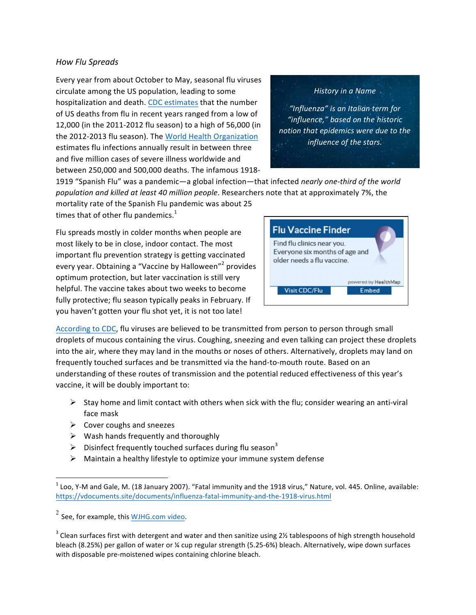#### *How Flu Spreads*

Every year from about October to May, seasonal flu viruses circulate among the US population, leading to some hospitalization and death. CDC estimates that the number of US deaths from flu in recent years ranged from a low of 12,000 (in the 2011-2012 flu season) to a high of 56,000 (in the 2012-2013 flu season). The World Health Organization estimates flu infections annually result in between three and five million cases of severe illness worldwide and between 250,000 and 500,000 deaths. The infamous 1918-

*History in a Name* 

"Influenza" is an Italian term for *"influence," based on the historic notion* that epidemics were due to the *influence* of the stars.

1919 "Spanish Flu" was a pandemic—a global infection—that infected *nearly one-third of the world* population and killed at least 40 million people. Researchers note that at approximately 7%, the

mortality rate of the Spanish Flu pandemic was about 25 times that of other flu pandemics.<sup>1</sup>

Flu spreads mostly in colder months when people are most likely to be in close, indoor contact. The most important flu prevention strategy is getting vaccinated every vear. Obtaining a "Vaccine by Halloween"<sup>2</sup> provides optimum protection, but later vaccination is still very helpful. The vaccine takes about two weeks to become fully protective; flu season typically peaks in February. If you haven't gotten your flu shot yet, it is not too late!



According to CDC, flu viruses are believed to be transmitted from person to person through small droplets of mucous containing the virus. Coughing, sneezing and even talking can project these droplets into the air, where they may land in the mouths or noses of others. Alternatively, droplets may land on frequently touched surfaces and be transmitted via the hand-to-mouth route. Based on an understanding of these routes of transmission and the potential reduced effectiveness of this year's vaccine, it will be doubly important to:

- $\triangleright$  Stay home and limit contact with others when sick with the flu; consider wearing an anti-viral face mask
- $\triangleright$  Cover coughs and sneezes
- $\triangleright$  Wash hands frequently and thoroughly
- $\triangleright$  Disinfect frequently touched surfaces during flu season<sup>3</sup>
- $\triangleright$  Maintain a healthy lifestyle to optimize your immune system defense

<u> 1989 - Jan Samuel Barbara, margaret e</u>

 $1$  Loo, Y-M and Gale, M. (18 January 2007). "Fatal immunity and the 1918 virus," Nature, vol. 445. Online, available: https://vdocuments.site/documents/influenza-fatal-immunity-and-the-1918-virus.html

 $2$  See, for example, this WJHG.com video.

 $3$  Clean surfaces first with detergent and water and then sanitize using 2½ tablespoons of high strength household bleach (8.25%) per gallon of water or  $\frac{1}{4}$  cup regular strength (5.25-6%) bleach. Alternatively, wipe down surfaces with disposable pre-moistened wipes containing chlorine bleach.